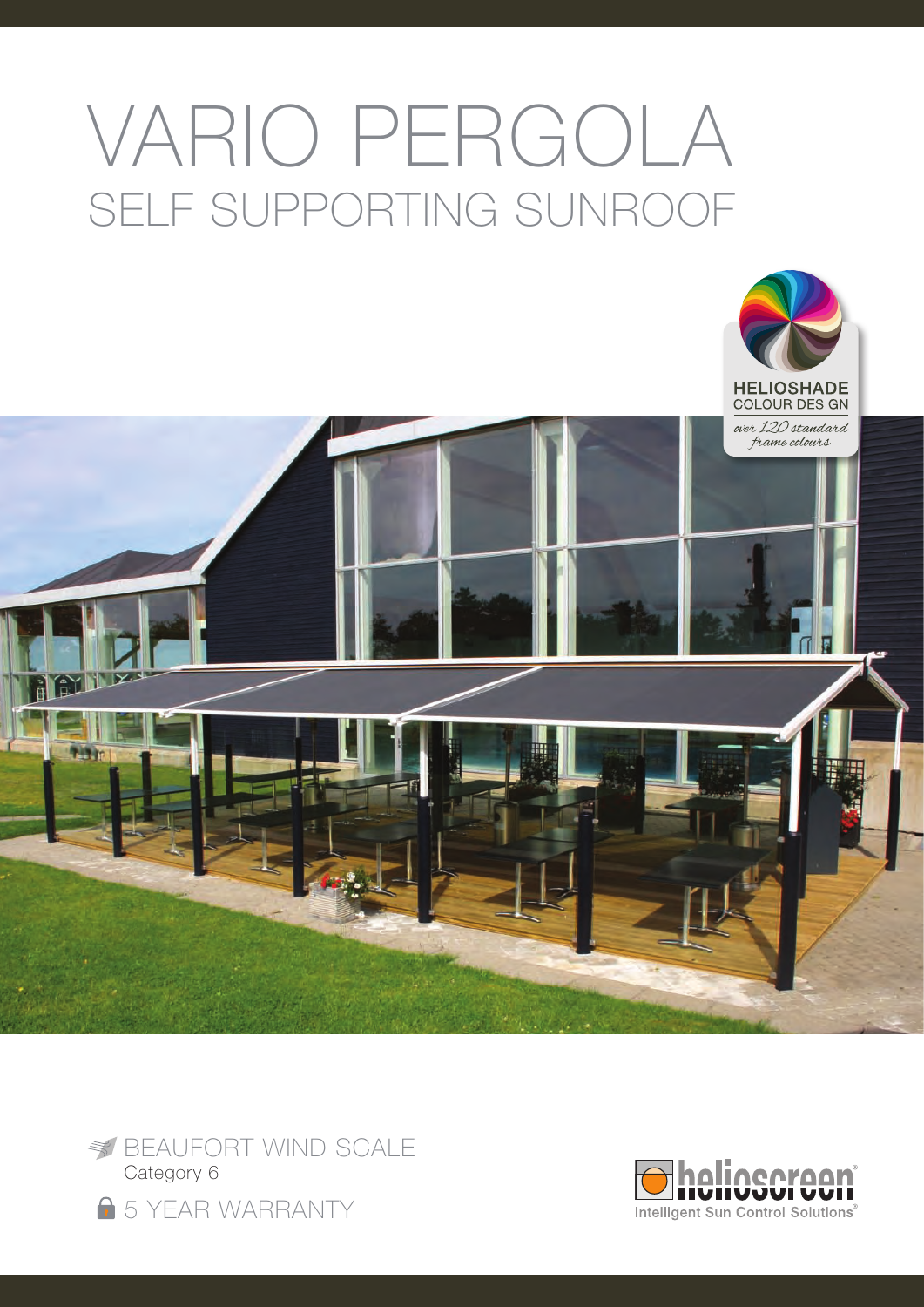# VARIO PERGOLA SELF SUPPORTING SunRoof





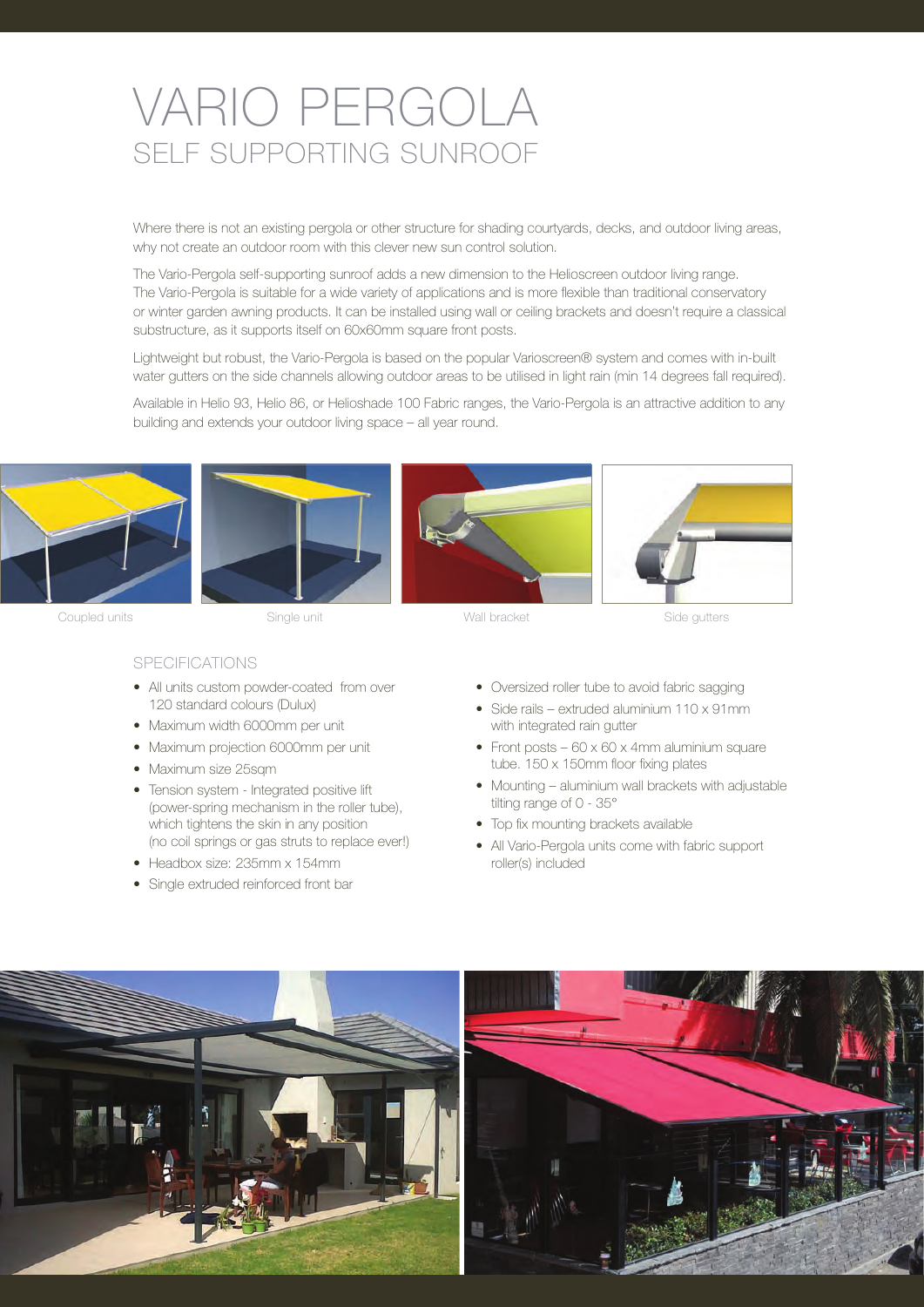## VARIO PERGOLA SELF SUPPORTING SunRoof

Where there is not an existing pergola or other structure for shading courtyards, decks, and outdoor living areas, why not create an outdoor room with this clever new sun control solution.

The Vario-Pergola self-supporting sunroof adds a new dimension to the Helioscreen outdoor living range. The Vario-Pergola is suitable for a wide variety of applications and is more flexible than traditional conservatory or winter garden awning products. It can be installed using wall or ceiling brackets and doesn't require a classical substructure, as it supports itself on 60x60mm square front posts.

Lightweight but robust, the Vario-Pergola is based on the popular Varioscreen® system and comes with in-built water gutters on the side channels allowing outdoor areas to be utilised in light rain (min 14 degrees fall required).

Available in Helio 93, Helio 86, or Helioshade 100 Fabric ranges, the Vario-Pergola is an attractive addition to any building and extends your outdoor living space – all year round.







Coupled units Single unit Wall bracket Side gutters

#### **SPECIFICATIONS**

- All units custom powder-coated from over 120 standard colours (Dulux)
- Maximum width 6000mm per unit
- Maximum projection 6000mm per unit
- Maximum size 25sqm
- Tension system Integrated positive lift (power-spring mechanism in the roller tube), which tightens the skin in any position (no coil springs or gas struts to replace ever!)
- Headbox size: 235mm x 154mm
- Single extruded reinforced front bar
- Oversized roller tube to avoid fabric sagging
- Side rails extruded aluminium 110 x 91mm with integrated rain gutter
- Front posts  $60 \times 60 \times 4$ mm aluminium square tube. 150 x 150mm floor fixing plates
- Mounting aluminium wall brackets with adjustable tilting range of 0 - 35°
- Top fix mounting brackets available
- All Vario-Pergola units come with fabric support roller(s) included



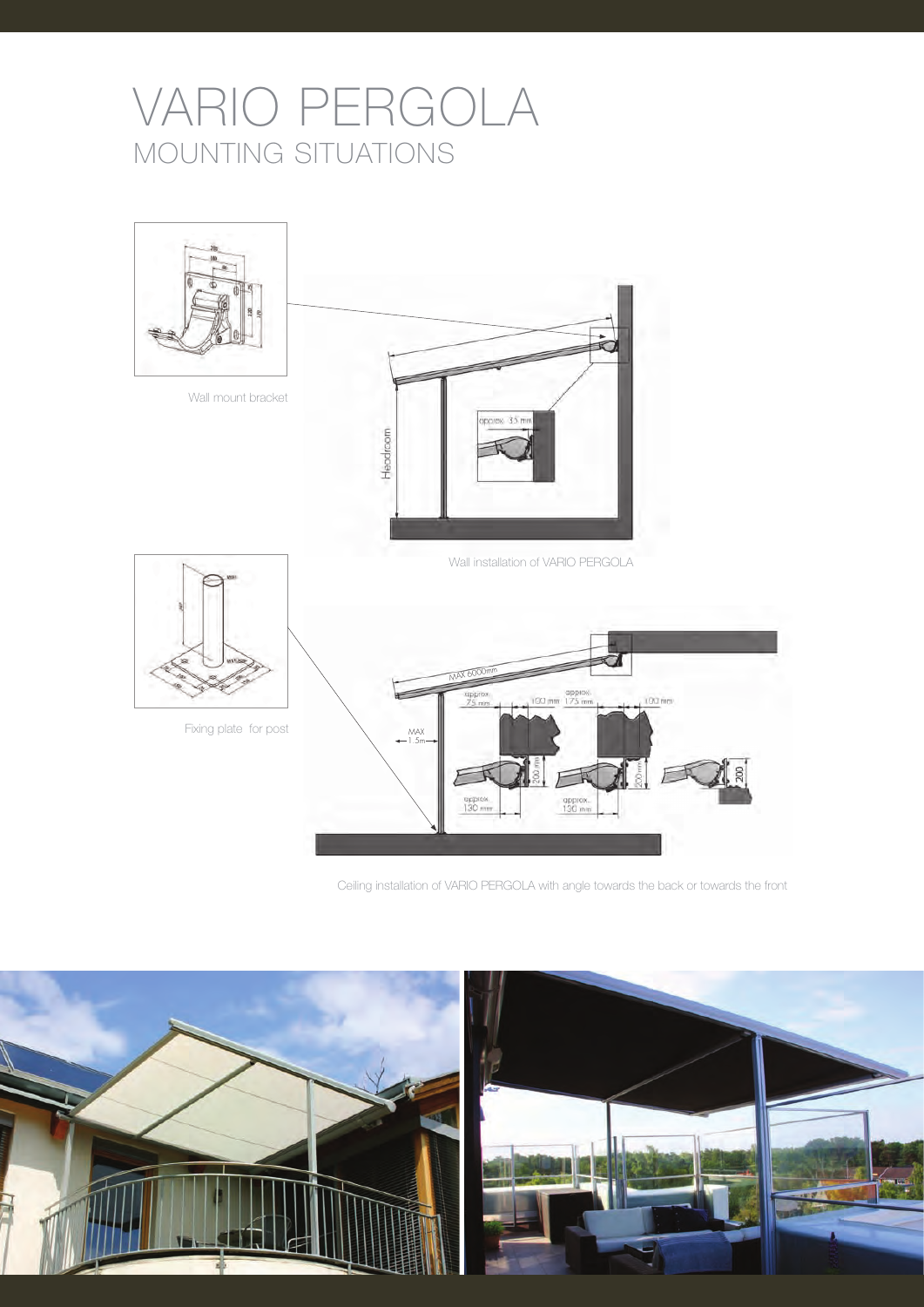# VARIO PERGOLA MOUNTING SITUATIONS



Ceiling installation of VARIO PERGOLA with angle towards the back or towards the front